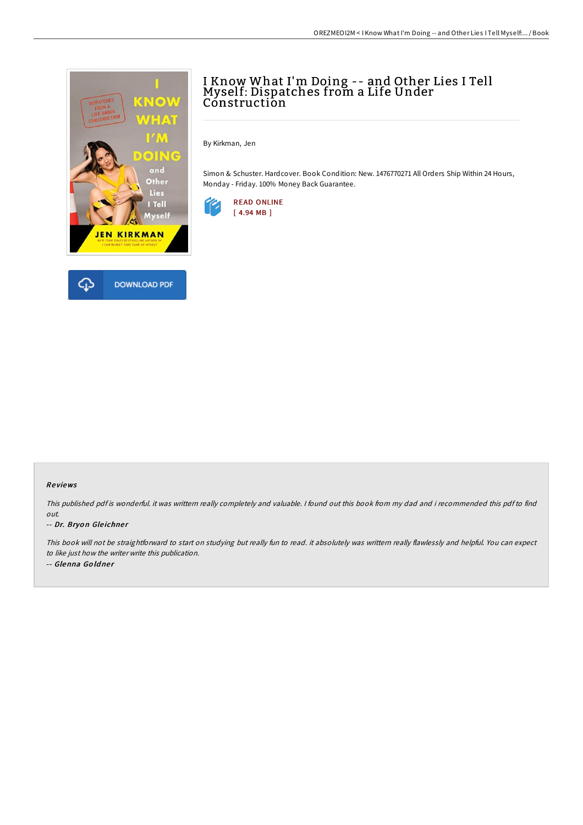

# I Know What I'm Doing -- and Other Lies I Tell Myself: Dispatches from a Life Under Construction

By Kirkman, Jen

Simon & Schuster. Hardcover. Book Condition: New. 1476770271 All Orders Ship Within 24 Hours, Monday - Friday. 100% Money Back Guarantee.



### Re views

This published pdf is wonderful. it was writtern really completely and valuable. I found out this book from my dad and i recommended this pdf to find out.

#### -- Dr. Bryon Gleichner

This book will not be straightforward to start on studying but really fun to read. it absolutely was writtern really flawlessly and helpful. You can expect to like just how the writer write this publication.

-- Glenna Goldner